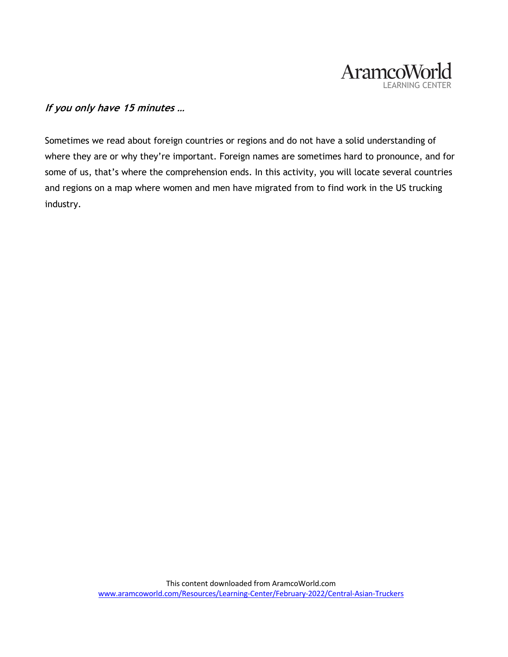

## **If you only have 15 minutes …**

Sometimes we read about foreign countries or regions and do not have a solid understanding of where they are or why they're important. Foreign names are sometimes hard to pronounce, and for some of us, that's where the comprehension ends. In this activity, you will locate several countries and regions on a map where women and men have migrated from to find work in the US trucking industry.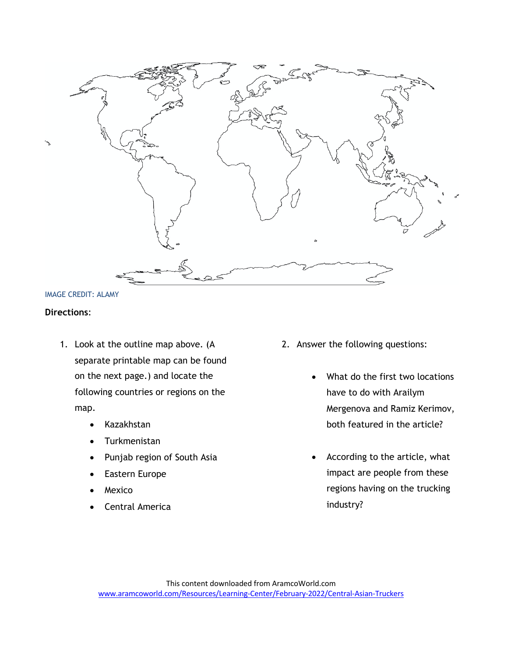



## **Directions**:

- 1. Look at the outline map above. (A separate printable map can be found on the next page.) and locate the following countries or regions on the map.
	- Kazakhstan
	- Turkmenistan
	- Punjab region of South Asia
	- Eastern Europe
	- Mexico
	- Central America
- 2. Answer the following questions:
	- What do the first two locations have to do with Arailym Mergenova and Ramiz Kerimov, both featured in the article?
	- According to the article, what impact are people from these regions having on the trucking industry?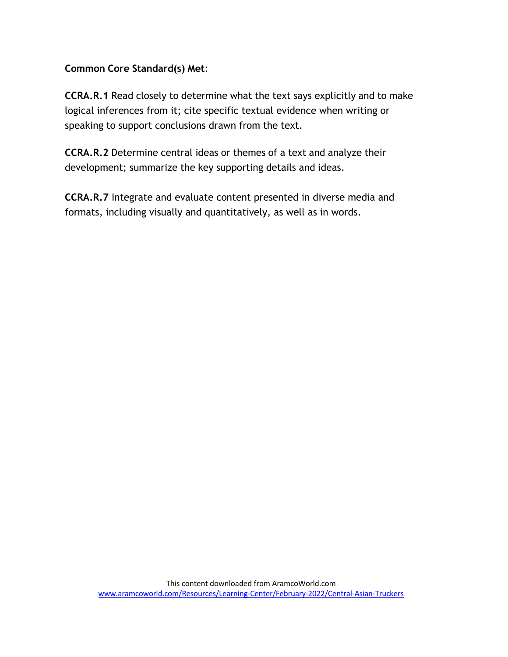**Common Core Standard(s) Met**:

**CCRA.R.1** Read closely to determine what the text says explicitly and to make logical inferences from it; cite specific textual evidence when writing or speaking to support conclusions drawn from the text.

**CCRA.R.2** Determine central ideas or themes of a text and analyze their development; summarize the key supporting details and ideas.

**CCRA.R.7** Integrate and evaluate content presented in diverse media and formats, including visually and quantitatively, as well as in words.